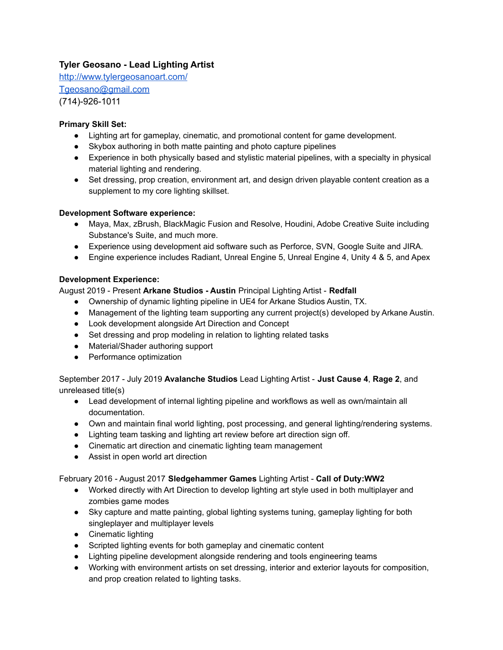# **Tyler Geosano - Lead Lighting Artist**

<http://www.tylergeosanoart.com/> [Tgeosano@gmail.com](mailto:Tgeosano@gmail.com)

(714)-926-1011

## **Primary Skill Set:**

- Lighting art for gameplay, cinematic, and promotional content for game development.
- Skybox authoring in both matte painting and photo capture pipelines
- Experience in both physically based and stylistic material pipelines, with a specialty in physical material lighting and rendering.
- Set dressing, prop creation, environment art, and design driven playable content creation as a supplement to my core lighting skillset.

### **Development Software experience:**

- Maya, Max, zBrush, BlackMagic Fusion and Resolve, Houdini, Adobe Creative Suite including Substance's Suite, and much more.
- Experience using development aid software such as Perforce, SVN, Google Suite and JIRA.
- Engine experience includes Radiant, Unreal Engine 5, Unreal Engine 4, Unity 4 & 5, and Apex

### **Development Experience:**

August 2019 - Present **Arkane Studios - Austin** Principal Lighting Artist - **Redfall**

- Ownership of dynamic lighting pipeline in UE4 for Arkane Studios Austin, TX.
- Management of the lighting team supporting any current project(s) developed by Arkane Austin.
- Look development alongside Art Direction and Concept
- Set dressing and prop modeling in relation to lighting related tasks
- Material/Shader authoring support
- Performance optimization

September 2017 - July 2019 **Avalanche Studios** Lead Lighting Artist - **Just Cause 4**, **Rage 2**, and unreleased title(s)

- Lead development of internal lighting pipeline and workflows as well as own/maintain all documentation.
- Own and maintain final world lighting, post processing, and general lighting/rendering systems.
- Lighting team tasking and lighting art review before art direction sign off.
- Cinematic art direction and cinematic lighting team management
- Assist in open world art direction

#### February 2016 - August 2017 **Sledgehammer Games** Lighting Artist - **Call of Duty:WW2**

- Worked directly with Art Direction to develop lighting art style used in both multiplayer and zombies game modes
- Sky capture and matte painting, global lighting systems tuning, gameplay lighting for both singleplayer and multiplayer levels
- Cinematic lighting
- Scripted lighting events for both gameplay and cinematic content
- Lighting pipeline development alongside rendering and tools engineering teams
- Working with environment artists on set dressing, interior and exterior layouts for composition, and prop creation related to lighting tasks.